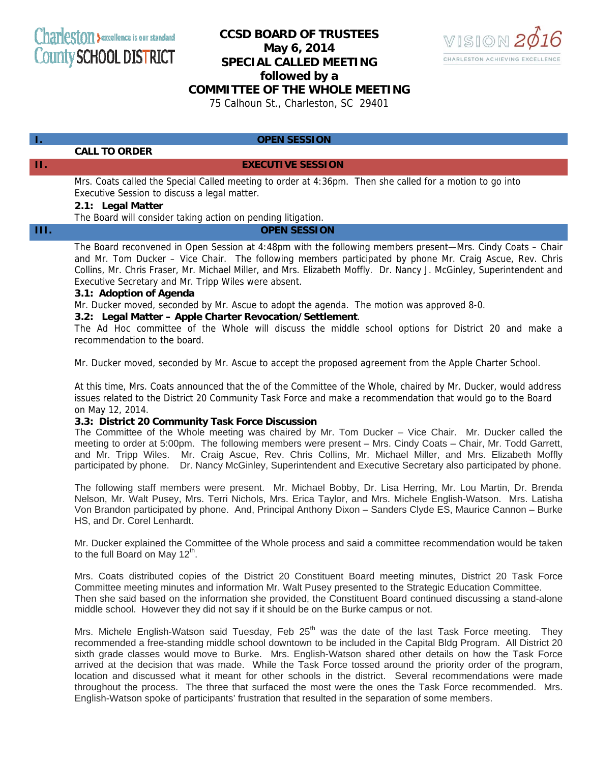# **CCSD BOARD OF TRUSTEES May 6, 2014 SPECIAL CALLED MEETING**



**followed by a** 

## **COMMITTEE OF THE WHOLE MEETING**

75 Calhoun St., Charleston, SC 29401

# **I. OPEN SESSION**

 **CALL TO ORDER** 

#### **II. EXECUTIVE SESSION**

Mrs. Coats called the Special Called meeting to order at 4:36pm. Then she called for a motion to go into Executive Session to discuss a legal matter.

#### **2.1: Legal Matter**

The Board will consider taking action on pending litigation.

### **III. OPEN SESSION**

The Board reconvened in Open Session at 4:48pm with the following members present—Mrs. Cindy Coats – Chair and Mr. Tom Ducker – Vice Chair. The following members participated by phone Mr. Craig Ascue, Rev. Chris Collins, Mr. Chris Fraser, Mr. Michael Miller, and Mrs. Elizabeth Moffly. Dr. Nancy J. McGinley, Superintendent and Executive Secretary and Mr. Tripp Wiles were absent.

#### **3.1: Adoption of Agenda**

Mr. Ducker moved, seconded by Mr. Ascue to adopt the agenda. The motion was approved 8-0.

#### **3.2: Legal Matter – Apple Charter Revocation/Settlement**.

The Ad Hoc committee of the Whole will discuss the middle school options for District 20 and make a recommendation to the board.

Mr. Ducker moved, seconded by Mr. Ascue to accept the proposed agreement from the Apple Charter School.

At this time, Mrs. Coats announced that the of the Committee of the Whole, chaired by Mr. Ducker, would address issues related to the District 20 Community Task Force and make a recommendation that would go to the Board on May 12, 2014.

### **3.3: District 20 Community Task Force Discussion**

The Committee of the Whole meeting was chaired by Mr. Tom Ducker – Vice Chair. Mr. Ducker called the meeting to order at 5:00pm. The following members were present – Mrs. Cindy Coats – Chair, Mr. Todd Garrett, and Mr. Tripp Wiles. Mr. Craig Ascue, Rev. Chris Collins, Mr. Michael Miller, and Mrs. Elizabeth Moffly participated by phone. Dr. Nancy McGinley, Superintendent and Executive Secretary also participated by phone.

The following staff members were present. Mr. Michael Bobby, Dr. Lisa Herring, Mr. Lou Martin, Dr. Brenda Nelson, Mr. Walt Pusey, Mrs. Terri Nichols, Mrs. Erica Taylor, and Mrs. Michele English-Watson. Mrs. Latisha Von Brandon participated by phone. And, Principal Anthony Dixon – Sanders Clyde ES, Maurice Cannon – Burke HS, and Dr. Corel Lenhardt.

Mr. Ducker explained the Committee of the Whole process and said a committee recommendation would be taken to the full Board on May  $12<sup>th</sup>$ .

Mrs. Coats distributed copies of the District 20 Constituent Board meeting minutes, District 20 Task Force Committee meeting minutes and information Mr. Walt Pusey presented to the Strategic Education Committee. Then she said based on the information she provided, the Constituent Board continued discussing a stand-alone middle school. However they did not say if it should be on the Burke campus or not.

Mrs. Michele English-Watson said Tuesday, Feb  $25<sup>th</sup>$  was the date of the last Task Force meeting. They recommended a free-standing middle school downtown to be included in the Capital Bldg Program. All District 20 sixth grade classes would move to Burke. Mrs. English-Watson shared other details on how the Task Force arrived at the decision that was made. While the Task Force tossed around the priority order of the program, location and discussed what it meant for other schools in the district. Several recommendations were made throughout the process. The three that surfaced the most were the ones the Task Force recommended. Mrs. English-Watson spoke of participants' frustration that resulted in the separation of some members.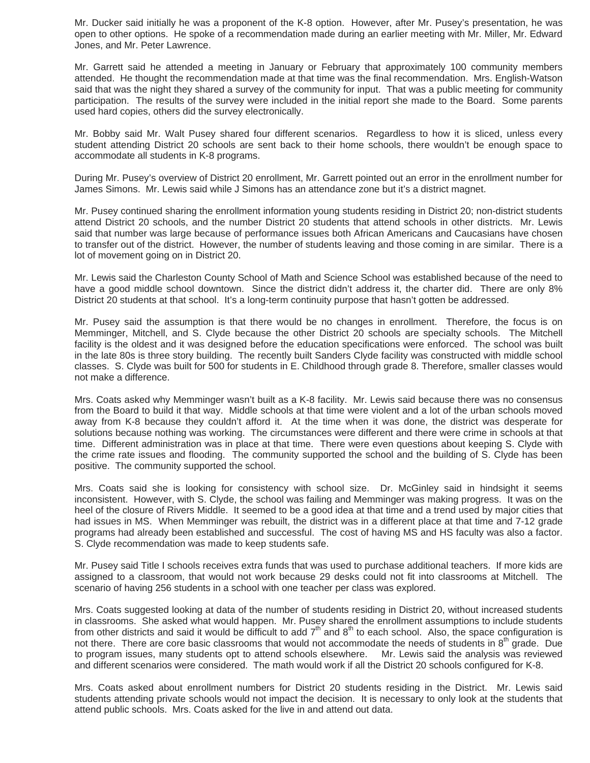Mr. Ducker said initially he was a proponent of the K-8 option. However, after Mr. Pusey's presentation, he was open to other options. He spoke of a recommendation made during an earlier meeting with Mr. Miller, Mr. Edward Jones, and Mr. Peter Lawrence.

Mr. Garrett said he attended a meeting in January or February that approximately 100 community members attended. He thought the recommendation made at that time was the final recommendation. Mrs. English-Watson said that was the night they shared a survey of the community for input. That was a public meeting for community participation. The results of the survey were included in the initial report she made to the Board. Some parents used hard copies, others did the survey electronically.

Mr. Bobby said Mr. Walt Pusey shared four different scenarios. Regardless to how it is sliced, unless every student attending District 20 schools are sent back to their home schools, there wouldn't be enough space to accommodate all students in K-8 programs.

During Mr. Pusey's overview of District 20 enrollment, Mr. Garrett pointed out an error in the enrollment number for James Simons. Mr. Lewis said while J Simons has an attendance zone but it's a district magnet.

Mr. Pusey continued sharing the enrollment information young students residing in District 20; non-district students attend District 20 schools, and the number District 20 students that attend schools in other districts. Mr. Lewis said that number was large because of performance issues both African Americans and Caucasians have chosen to transfer out of the district. However, the number of students leaving and those coming in are similar. There is a lot of movement going on in District 20.

Mr. Lewis said the Charleston County School of Math and Science School was established because of the need to have a good middle school downtown. Since the district didn't address it, the charter did. There are only 8% District 20 students at that school. It's a long-term continuity purpose that hasn't gotten be addressed.

Mr. Pusey said the assumption is that there would be no changes in enrollment. Therefore, the focus is on Memminger, Mitchell, and S. Clyde because the other District 20 schools are specialty schools. The Mitchell facility is the oldest and it was designed before the education specifications were enforced. The school was built in the late 80s is three story building. The recently built Sanders Clyde facility was constructed with middle school classes. S. Clyde was built for 500 for students in E. Childhood through grade 8. Therefore, smaller classes would not make a difference.

Mrs. Coats asked why Memminger wasn't built as a K-8 facility. Mr. Lewis said because there was no consensus from the Board to build it that way. Middle schools at that time were violent and a lot of the urban schools moved away from K-8 because they couldn't afford it. At the time when it was done, the district was desperate for solutions because nothing was working. The circumstances were different and there were crime in schools at that time. Different administration was in place at that time. There were even questions about keeping S. Clyde with the crime rate issues and flooding. The community supported the school and the building of S. Clyde has been positive. The community supported the school.

Mrs. Coats said she is looking for consistency with school size. Dr. McGinley said in hindsight it seems inconsistent. However, with S. Clyde, the school was failing and Memminger was making progress. It was on the heel of the closure of Rivers Middle. It seemed to be a good idea at that time and a trend used by major cities that had issues in MS. When Memminger was rebuilt, the district was in a different place at that time and 7-12 grade programs had already been established and successful. The cost of having MS and HS faculty was also a factor. S. Clyde recommendation was made to keep students safe.

Mr. Pusey said Title I schools receives extra funds that was used to purchase additional teachers. If more kids are assigned to a classroom, that would not work because 29 desks could not fit into classrooms at Mitchell. The scenario of having 256 students in a school with one teacher per class was explored.

Mrs. Coats suggested looking at data of the number of students residing in District 20, without increased students in classrooms. She asked what would happen. Mr. Pusey shared the enrollment assumptions to include students from other districts and said it would be difficult to add  $7<sup>th</sup>$  and  $8<sup>th</sup>$  to each school. Also, the space configuration is not there. There are core basic classrooms that would not accommodate the needs of students in  $8<sup>th</sup>$  grade. Due to program issues, many students opt to attend schools elsewhere. Mr. Lewis said the analysis was reviewed and different scenarios were considered. The math would work if all the District 20 schools configured for K-8.

Mrs. Coats asked about enrollment numbers for District 20 students residing in the District. Mr. Lewis said students attending private schools would not impact the decision. It is necessary to only look at the students that attend public schools. Mrs. Coats asked for the live in and attend out data.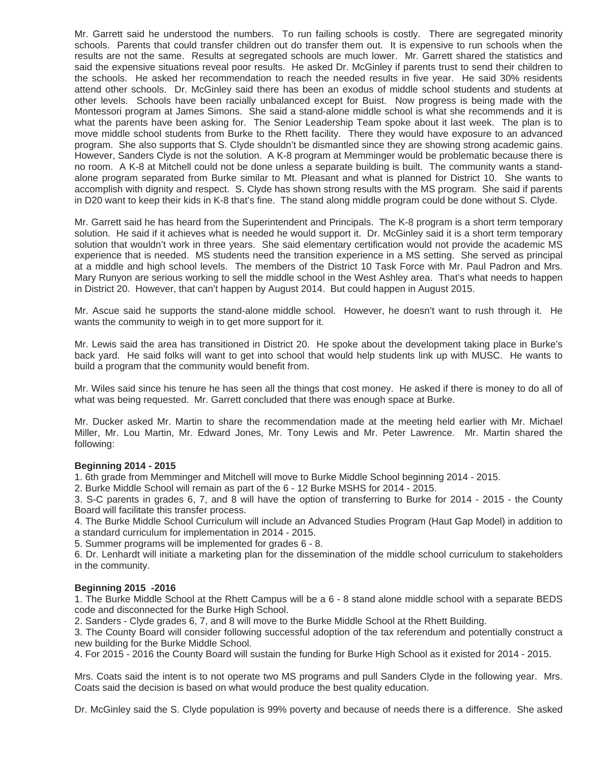Mr. Garrett said he understood the numbers. To run failing schools is costly. There are segregated minority schools. Parents that could transfer children out do transfer them out. It is expensive to run schools when the results are not the same. Results at segregated schools are much lower. Mr. Garrett shared the statistics and said the expensive situations reveal poor results. He asked Dr. McGinley if parents trust to send their children to the schools. He asked her recommendation to reach the needed results in five year. He said 30% residents attend other schools. Dr. McGinley said there has been an exodus of middle school students and students at other levels. Schools have been racially unbalanced except for Buist. Now progress is being made with the Montessori program at James Simons. She said a stand-alone middle school is what she recommends and it is what the parents have been asking for. The Senior Leadership Team spoke about it last week. The plan is to move middle school students from Burke to the Rhett facility. There they would have exposure to an advanced program. She also supports that S. Clyde shouldn't be dismantled since they are showing strong academic gains. However, Sanders Clyde is not the solution. A K-8 program at Memminger would be problematic because there is no room. A K-8 at Mitchell could not be done unless a separate building is built. The community wants a standalone program separated from Burke similar to Mt. Pleasant and what is planned for District 10. She wants to accomplish with dignity and respect. S. Clyde has shown strong results with the MS program. She said if parents in D20 want to keep their kids in K-8 that's fine. The stand along middle program could be done without S. Clyde.

Mr. Garrett said he has heard from the Superintendent and Principals. The K-8 program is a short term temporary solution. He said if it achieves what is needed he would support it. Dr. McGinley said it is a short term temporary solution that wouldn't work in three years. She said elementary certification would not provide the academic MS experience that is needed. MS students need the transition experience in a MS setting. She served as principal at a middle and high school levels. The members of the District 10 Task Force with Mr. Paul Padron and Mrs. Mary Runyon are serious working to sell the middle school in the West Ashley area. That's what needs to happen in District 20. However, that can't happen by August 2014. But could happen in August 2015.

Mr. Ascue said he supports the stand-alone middle school. However, he doesn't want to rush through it. He wants the community to weigh in to get more support for it.

Mr. Lewis said the area has transitioned in District 20. He spoke about the development taking place in Burke's back yard. He said folks will want to get into school that would help students link up with MUSC. He wants to build a program that the community would benefit from.

Mr. Wiles said since his tenure he has seen all the things that cost money. He asked if there is money to do all of what was being requested. Mr. Garrett concluded that there was enough space at Burke.

Mr. Ducker asked Mr. Martin to share the recommendation made at the meeting held earlier with Mr. Michael Miller, Mr. Lou Martin, Mr. Edward Jones, Mr. Tony Lewis and Mr. Peter Lawrence. Mr. Martin shared the following:

#### **Beginning 2014 - 2015**

1. 6th grade from Memminger and Mitchell will move to Burke Middle School beginning 2014 - 2015.

2. Burke Middle School will remain as part of the 6 - 12 Burke MSHS for 2014 - 2015.

3. S-C parents in grades 6, 7, and 8 will have the option of transferring to Burke for 2014 - 2015 - the County Board will facilitate this transfer process.

4. The Burke Middle School Curriculum will include an Advanced Studies Program (Haut Gap Model) in addition to a standard curriculum for implementation in 2014 - 2015.

5. Summer programs will be implemented for grades 6 - 8.

6. Dr. Lenhardt will initiate a marketing plan for the dissemination of the middle school curriculum to stakeholders in the community.

#### **Beginning 2015 -2016**

1. The Burke Middle School at the Rhett Campus will be a 6 - 8 stand alone middle school with a separate BEDS code and disconnected for the Burke High School.

2. Sanders - Clyde grades 6, 7, and 8 will move to the Burke Middle School at the Rhett Building.

3. The County Board will consider following successful adoption of the tax referendum and potentially construct a new building for the Burke Middle School.

4. For 2015 - 2016 the County Board will sustain the funding for Burke High School as it existed for 2014 - 2015.

Mrs. Coats said the intent is to not operate two MS programs and pull Sanders Clyde in the following year. Mrs. Coats said the decision is based on what would produce the best quality education.

Dr. McGinley said the S. Clyde population is 99% poverty and because of needs there is a difference. She asked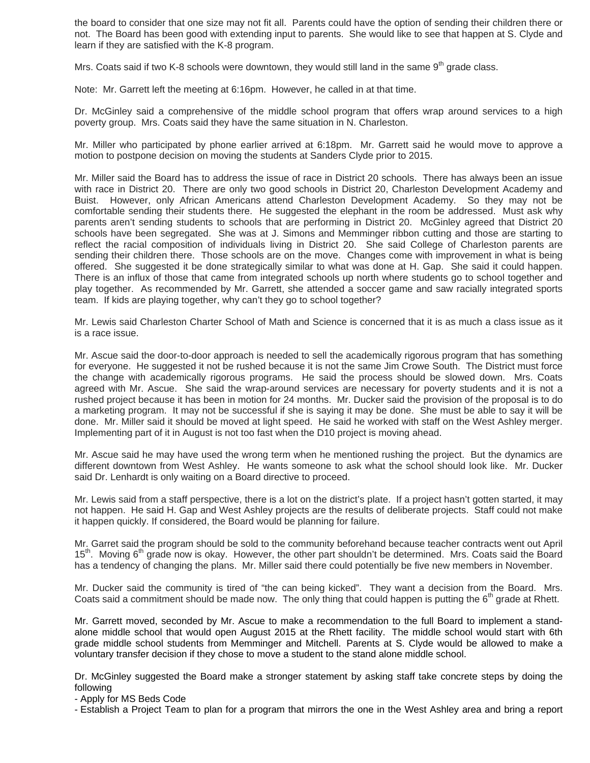the board to consider that one size may not fit all. Parents could have the option of sending their children there or not. The Board has been good with extending input to parents. She would like to see that happen at S. Clyde and learn if they are satisfied with the K-8 program.

Mrs. Coats said if two K-8 schools were downtown, they would still land in the same  $9<sup>th</sup>$  grade class.

Note: Mr. Garrett left the meeting at 6:16pm. However, he called in at that time.

Dr. McGinley said a comprehensive of the middle school program that offers wrap around services to a high poverty group. Mrs. Coats said they have the same situation in N. Charleston.

Mr. Miller who participated by phone earlier arrived at 6:18pm. Mr. Garrett said he would move to approve a motion to postpone decision on moving the students at Sanders Clyde prior to 2015.

Mr. Miller said the Board has to address the issue of race in District 20 schools. There has always been an issue with race in District 20. There are only two good schools in District 20, Charleston Development Academy and Buist. However, only African Americans attend Charleston Development Academy. So they may not be comfortable sending their students there. He suggested the elephant in the room be addressed. Must ask why parents aren't sending students to schools that are performing in District 20. McGinley agreed that District 20 schools have been segregated. She was at J. Simons and Memminger ribbon cutting and those are starting to reflect the racial composition of individuals living in District 20. She said College of Charleston parents are sending their children there. Those schools are on the move. Changes come with improvement in what is being offered. She suggested it be done strategically similar to what was done at H. Gap. She said it could happen. There is an influx of those that came from integrated schools up north where students go to school together and play together. As recommended by Mr. Garrett, she attended a soccer game and saw racially integrated sports team. If kids are playing together, why can't they go to school together?

Mr. Lewis said Charleston Charter School of Math and Science is concerned that it is as much a class issue as it is a race issue.

Mr. Ascue said the door-to-door approach is needed to sell the academically rigorous program that has something for everyone. He suggested it not be rushed because it is not the same Jim Crowe South. The District must force the change with academically rigorous programs. He said the process should be slowed down. Mrs. Coats agreed with Mr. Ascue. She said the wrap-around services are necessary for poverty students and it is not a rushed project because it has been in motion for 24 months. Mr. Ducker said the provision of the proposal is to do a marketing program. It may not be successful if she is saying it may be done. She must be able to say it will be done. Mr. Miller said it should be moved at light speed. He said he worked with staff on the West Ashley merger. Implementing part of it in August is not too fast when the D10 project is moving ahead.

Mr. Ascue said he may have used the wrong term when he mentioned rushing the project. But the dynamics are different downtown from West Ashley. He wants someone to ask what the school should look like. Mr. Ducker said Dr. Lenhardt is only waiting on a Board directive to proceed.

Mr. Lewis said from a staff perspective, there is a lot on the district's plate. If a project hasn't gotten started, it may not happen. He said H. Gap and West Ashley projects are the results of deliberate projects. Staff could not make it happen quickly. If considered, the Board would be planning for failure.

Mr. Garret said the program should be sold to the community beforehand because teacher contracts went out April  $15<sup>tn</sup>$ . Moving 6<sup>th</sup> grade now is okay. However, the other part shouldn't be determined. Mrs. Coats said the Board has a tendency of changing the plans. Mr. Miller said there could potentially be five new members in November.

Mr. Ducker said the community is tired of "the can being kicked". They want a decision from the Board. Mrs. Coats said a commitment should be made now. The only thing that could happen is putting the 6<sup>th</sup> grade at Rhett.

Mr. Garrett moved, seconded by Mr. Ascue to make a recommendation to the full Board to implement a standalone middle school that would open August 2015 at the Rhett facility. The middle school would start with 6th grade middle school students from Memminger and Mitchell. Parents at S. Clyde would be allowed to make a voluntary transfer decision if they chose to move a student to the stand alone middle school.

Dr. McGinley suggested the Board make a stronger statement by asking staff take concrete steps by doing the following

- Apply for MS Beds Code

- Establish a Project Team to plan for a program that mirrors the one in the West Ashley area and bring a report